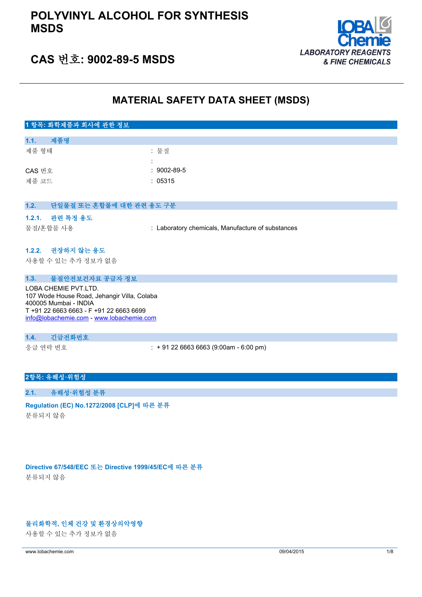## **POLYVINYL ALCOHOL FOR SYNTHESIS MSDS**



## **CAS 번호: 9002-89-5 MSDS**

## **MATERIAL SAFETY DATA SHEET (MSDS)**

## **1 항목: 화학제품과 회사에 관한 정보 1.1. 제품명** 제품 형태 : 기대 : 기대 : 물질 : CAS 번호 : 9002-89-5 제품 코드 : 05315 **1.2. 단일물질 또는 혼합물에 대한 관련 용도 구분 1.2.1. 관련 특정 용도** 물질/혼합물 사용 : Laboratory chemicals, Manufacture of substances **1.2.2. 권장하지 않는 용도** 사용할 수 있는 추가 정보가 없음 **1.3. 물질안전보건자료 공급자 정보** LOBA CHEMIE PVT.LTD. 107 Wode House Road, Jehangir Villa, Colaba 400005 Mumbai - INDIA T +91 22 6663 6663 - F +91 22 6663 6699 [info@lobachemie.com](mailto:info@lobachemie.com) - <www.lobachemie.com> **1.4. 긴급전화번호** 응급 연락 번호 : + 91 22 6663 6663 (9:00am - 6:00 pm)

### **2항목: 유해성·위험성**

## **2.1. 유해성·위험성 분류**

#### **Regulation (EC) No.1272/2008 [CLP]에 따른 분류**

분류되지 않음

**Directive 67/548/EEC 또는 Directive 1999/45/EC에 따른 분류** 분류되지 않음

### **물리화학적, 인체 건강 및 환경상의악영향**

사용할 수 있는 추가 정보가 없음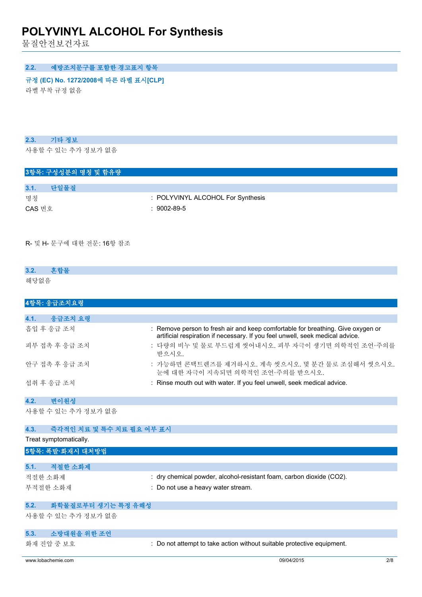물질안전보건자료

## **2.2. 예방조치문구를 포함한 경고표지 항목**

#### **규정 (EC) No. 1272/2008에 따른 라벨 표시[CLP] Extra labelling to displayExtra classification(s) to display**

라벨 부착 규정 없음

## **2.3. 기타 정보**

사용할 수 있는 추가 정보가 없음

## **3항목: 구성성분의 명칭 및 함유량**

**3.1. 단일물질**

- 명칭 : POLYVINYL ALCOHOL For Synthesis
- CAS 번호 : 9002-89-5

#### R- 및 H- 문구에 대한 전문: 16항 참조

## **3.2. 혼합물** 해당없음

| 4항목: 응급조치요령     |                                                                                                                                                                  |
|-----------------|------------------------------------------------------------------------------------------------------------------------------------------------------------------|
|                 |                                                                                                                                                                  |
| 4.1.<br>응급조치 요령 |                                                                                                                                                                  |
| 흠입 후 응급 조치      | : Remove person to fresh air and keep comfortable for breathing. Give oxygen or<br>artificial respiration if necessary. If you feel unwell, seek medical advice. |
| 피부 접촉 후 응급 조치   | : 다량의 비누 및 물로 부드럽게 씻어내시오. 피부 자극이 생기면 의학적인 조언·주의를<br>받으시오.                                                                                                        |
| 안구 접촉 후 응급 조치   | : 가능하면 콘택트렌즈를 제거하시오. 계속 씻으시오. 몇 분간 물로 조심해서 씻으시오.<br>눈에 대한 자극이 지속되면 의학적인 조언·주의를 받으시오.                                                                             |
| 섭취 후 응급 조치      | : Rinse mouth out with water. If you feel unwell, seek medical advice.                                                                                           |

## **4.2. 변이원성**

사용할 수 있는 추가 정보가 없음

| 4.3.    | 즉각적인 치료 및 특수 치료 필요 여부 표시 |                                                                      |
|---------|--------------------------|----------------------------------------------------------------------|
|         | Treat symptomatically.   |                                                                      |
|         | 5항목: 폭발·화재시 대처방법         |                                                                      |
|         |                          |                                                                      |
| 5.1.    | 적절한 소화제                  |                                                                      |
| 적절한 소화제 |                          | : dry chemical powder, alcohol-resistant foam, carbon dioxide (CO2). |
|         | 부적절한 소화재                 | : Do not use a heavy water stream.                                   |
|         |                          |                                                                      |
| 5.2.    | 화학물질로부터 생기는 특정 유해성       |                                                                      |
|         | 사용할 수 있는 추가 정보가 없음       |                                                                      |
|         |                          |                                                                      |

## **5.3. 소방대원을 위한 조언**

화재 진압 중 보호 : Do not attempt to take action without suitable protective equipment.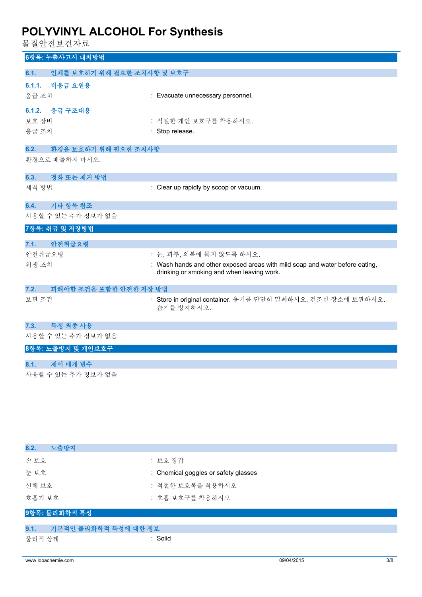물질안전보건자료

| ㄷ ㄷ ㄴ ㄴㅡ- ㄴ′ ㅣㅡ                    |                                                                                                                            |
|------------------------------------|----------------------------------------------------------------------------------------------------------------------------|
| 6항목: 누출사고시 대처방법                    |                                                                                                                            |
| 인체를 보호하기 위해 필요한 조치사항 및 보호구<br>6.1. |                                                                                                                            |
| 6.1.1.<br>비응급 요원용                  |                                                                                                                            |
| 응급 조치                              | : Evacuate unnecessary personnel.                                                                                          |
| 6.1.2. 응급 구조대용                     |                                                                                                                            |
| 보호 장비                              | : 적절한 개인 보호구를 착용하시오.                                                                                                       |
| 응급 조치                              | : Stop release.                                                                                                            |
| 6.2.<br>환경을 보호하기 위해 필요한 조치사항       |                                                                                                                            |
| 환경으로 배출하지 마시오.                     |                                                                                                                            |
| 6.3.<br>정화 또는 제거 방법                |                                                                                                                            |
| 세척 방법                              | : Clear up rapidly by scoop or vacuum.                                                                                     |
| 6.4.<br>기타 항목 참조                   |                                                                                                                            |
| 사용할 수 있는 추가 정보가 없음                 |                                                                                                                            |
| 7항목: 취급 및 저장방법                     |                                                                                                                            |
| 안전취급요령<br>7.1.                     |                                                                                                                            |
| 안전취급요령                             | : 눈, 피부, 의복에 묻지 않도록 하시오.                                                                                                   |
| 위생 조치                              | : Wash hands and other exposed areas with mild soap and water before eating,<br>drinking or smoking and when leaving work. |
| 피해야할 조건을 포함한 안전한 저장 방법<br>7.2.     |                                                                                                                            |
| 보관 조건                              | : Store in original container. 용기를 단단히 밀폐하시오. 건조한 장소에 보관하시오.<br>습기를 방지하시오.                                                 |
| 특정 최종 사용<br>7.3.                   |                                                                                                                            |
| 사용할 수 있는 추가 정보가 없음                 |                                                                                                                            |
| 8항목: 노출방지 및 개인보호구                  |                                                                                                                            |
| 제어 매개 변수<br>8.1.                   |                                                                                                                            |
| 사용할 수 있는 추가 정보가 없음                 |                                                                                                                            |

| 8.2.<br>노출방지                 |                                      |  |
|------------------------------|--------------------------------------|--|
| 손보호                          | : 보호 장갑                              |  |
| 눈보호                          | : Chemical goggles or safety glasses |  |
| 신체 보호                        | : 적절한 보호복을 착용하시오                     |  |
| 호흡기 보호                       | : 호흡 보호구를 착용하시오                      |  |
| 9항목: 물리화학적 특성                |                                      |  |
| 기본적인 물리화학적 특성에 대한 정보<br>9.1. |                                      |  |
| 물리적 상태                       | : Solid                              |  |
|                              |                                      |  |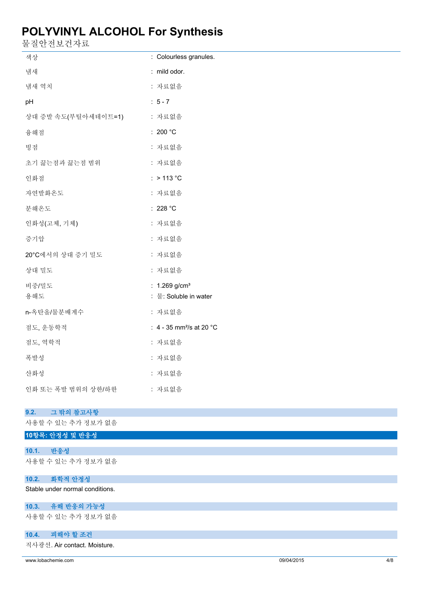- <del>- - - - - - - -</del><br>물질안전보건자료

| ㄹ ㄹ ㄴ ㄴ ㅗ ㄴ ′ ') ㅛ         |                                                |
|----------------------------|------------------------------------------------|
| 색상                         | : Colourless granules.                         |
| 냄새                         | : mild odor.                                   |
| 냄새 역치                      | : 자료없음                                         |
| pH                         | $: 5 - 7$                                      |
| 상대 증발 속도(부틸아세테이트=1)        | : 자료없음                                         |
| 융해점                        | : 200 $^{\circ}$ C                             |
| 빙점                         | : 자료없음                                         |
| 초기 끓는점과 끓는점 범위             | : 자료없음                                         |
| 인화점                        | $:$ > 113 °C                                   |
| 자연발화온도                     | : 자료없음                                         |
| 분해온도                       | : 228 $^{\circ}$ C                             |
| 인화성(고체, 기체)                | : 자료없음                                         |
| 증기압                        | : 자료없음                                         |
| 20°C에서의 상대 증기 밀도           | : 자료없음                                         |
| 상대 밀도                      | : 자료없음                                         |
| 비중/밀도                      | : $1.269$ g/cm <sup>3</sup>                    |
| 용해도                        | : 물: Soluble in water                          |
| n-옥탄올/물분배계수                | : 자료없음                                         |
| 점도, 운동학적                   | : 4 - 35 mm <sup>2</sup> /s at 20 $^{\circ}$ C |
| 점도, 역학적                    | : 자료없음                                         |
| 폭발성                        | : 자료없음                                         |
| 산화성                        | : 자료없음                                         |
| 인화 또는 폭발 범위의 상한/하한         | : 자료없음                                         |
| 그 밖의 참고사항                  |                                                |
| 9.2.<br>사용할 수 있는 추가 정보가 없음 |                                                |
| 10항목: 안정성 및 반응성            |                                                |
| 반응성<br>10.1.               |                                                |
| 사용할 수 있는 추가 정보가 없음         |                                                |

### **10.2. 화학적 안정성**

Stable under normal conditions.

## **10.3. 유해 반응의 가능성**

사용할 수 있는 추가 정보가 없음

### **10.4. 피해야 할 조건**

직사광선. Air contact. Moisture.

www.lobachemie.com 09/04/2015 4/8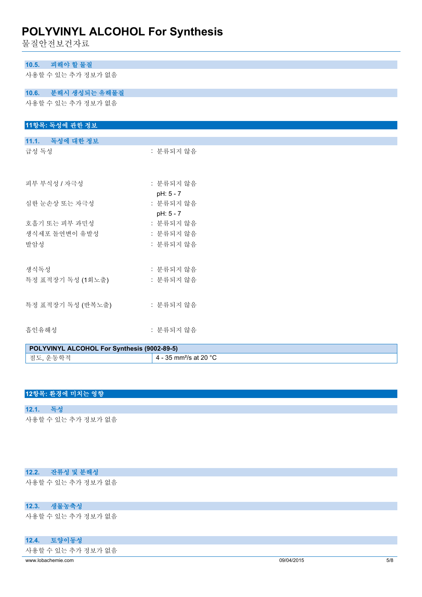물질안전보건자료

| 피해야 할 물질<br>10.5.                                    |                        |  |  |
|------------------------------------------------------|------------------------|--|--|
| 사용할 수 있는 추가 정보가 없음                                   |                        |  |  |
| 10.6. 분해시 생성되는 유해물질                                  |                        |  |  |
| 사용할 수 있는 추가 정보가 없음                                   |                        |  |  |
| 11항목: 독성에 관한 정보                                      |                        |  |  |
| 11.1. 독성에 대한 정보                                      |                        |  |  |
| 급성 독성                                                | : 분류되지 않음              |  |  |
| 피부 부식성 / 자극성                                         | : 분류되지 않음<br>pH: 5 - 7 |  |  |
| 심한 눈손상 또는 자극성                                        | : 분류되지 않음<br>pH: 5 - 7 |  |  |
| 호흡기 또는 피부 과민성                                        | : 분류되지 않음              |  |  |
| 생식세포 돌연변이 유발성                                        | : 분류되지 않음              |  |  |
| 발암성                                                  | : 분류되지 않음              |  |  |
| 생식독성                                                 | : 분류되지 않음              |  |  |
| 특정 표적장기 독성 (1회노출)                                    | : 분류되지 않음              |  |  |
| 특정 표적장기 독성 (반복노출) : 분류되지 않음                          |                        |  |  |
| 흡인유해성                                                | : 분류되지 않음              |  |  |
| <b>DOI VUINVI AI COHOL For Synthopic (9002.89 E)</b> |                        |  |  |

| POLYVINYL ALCOHOL For Synthesis (9002-89-5) |                                               |  |
|---------------------------------------------|-----------------------------------------------|--|
| 점도, 운동학적                                    | $^\prime\,$ 4 - 35 mm²/s at 20 °C $^\prime\,$ |  |

## **12항목: 환경에 미치는 영향**

**12.1. 독성**

사용할 수 있는 추가 정보가 없음

## **12.2. 잔류성 및 분해성**

사용할 수 있는 추가 정보가 없음

## **12.3. 생물농축성**

사용할 수 있는 추가 정보가 없음

## **12.4. 토양이동성**

사용할 수 있는 추가 정보가 없음

www.lobachemie.com 09/04/2015 5/8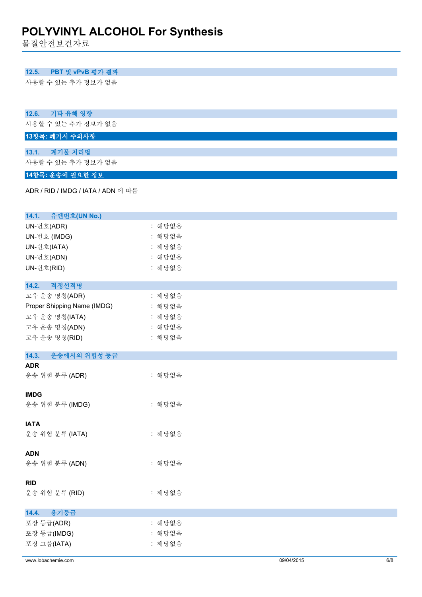물질안전보건자료

## **12.5. PBT 및 vPvB 평가 결과**

사용할 수 있는 추가 정보가 없음

### **12.6. 기타 유해 영향**

사용할 수 있는 추가 정보가 없음

## **13항목: 폐기시 주의사항**

**13.1. 폐기물 처리법** 사용할 수 있는 추가 정보가 없음

## **14항목: 운송에 필요한 정보**

ADR / RID / IMDG / IATA / ADN 에 따름

| 유엔번호(UN No.)<br>14.1.       |        |                   |
|-----------------------------|--------|-------------------|
| UN-번호(ADR)                  | : 해당없음 |                   |
| UN-번호 (IMDG)                | : 해당없음 |                   |
| UN-번호(IATA)                 | : 해당없음 |                   |
| UN-번호(ADN)                  | : 해당없음 |                   |
| UN-번호(RID)                  | : 해당없음 |                   |
|                             |        |                   |
| 적정선적명<br>14.2.              |        |                   |
| 고유 운송 명칭(ADR)               | : 해당없음 |                   |
| Proper Shipping Name (IMDG) | : 해당없음 |                   |
| 고유 운송 명칭(IATA)              | : 해당없음 |                   |
| 고유 운송 명칭(ADN)               | : 해당없음 |                   |
| 고유 운송 명칭(RID)               | : 해당없음 |                   |
|                             |        |                   |
| 14.3.<br>운송에서의 위험성 등급       |        |                   |
| <b>ADR</b>                  |        |                   |
| 운송 위험 분류 (ADR)              | : 해당없음 |                   |
| <b>IMDG</b>                 |        |                   |
| 운송 위험 분류 (IMDG)             | : 해당없음 |                   |
|                             |        |                   |
| <b>IATA</b>                 |        |                   |
| 운송 위험 분류 (IATA)             | : 해당없음 |                   |
|                             |        |                   |
| <b>ADN</b>                  |        |                   |
| 운송 위험 분류 (ADN)              | : 해당없음 |                   |
|                             |        |                   |
| <b>RID</b>                  |        |                   |
| 운송 위험 분류 (RID)              | : 해당없음 |                   |
|                             |        |                   |
| 용기등급<br>14.4.               |        |                   |
| 포장 등급(ADR)                  | : 해당없음 |                   |
| 포장 등급(IMDG)                 | : 해당없음 |                   |
| 포장 그룹(IATA)                 | : 해당없음 |                   |
| www.lobachemie.com          |        | 6/8<br>09/04/2015 |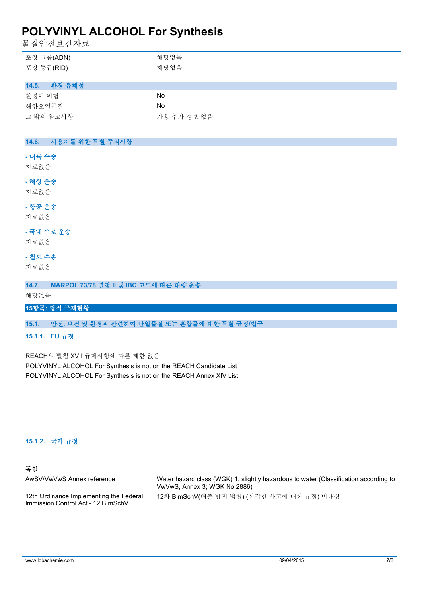물질안전보건자료

| 포장 그룹(ADN) | : 해당없음 |
|------------|--------|
| 포장 등급(RID) | : 해당없음 |

### **14.5. 환경 유해성**

| 화경에 위험    | : No          |
|-----------|---------------|
| 해양오염물질    | : No          |
| 그 밖의 참고사항 | : 가용 추가 정보 없음 |

### **14.6. 사용자를 위한 특별 주의사항**

## **- 내륙 수송**

자료없음

## **- 해상 운송**

자료없음

## **- 항공 운송**

자료없음

## **- 국내 수로 운송**

자료없음

## **- 철도 수송**

자료없음

**14.7. MARPOL 73/78 별첨 II 및 IBC 코드에 따른 대량 운송**

해당없음

## **15항목: 법적 규제현황**

## **15.1. 안전, 보건 및 환경과 관련하여 단일물질 또는 혼합물에 대한 특별 규정/법규**

#### **15.1.1. EU 규정**

REACH의 별첨 XVII 규제사항에 따른 제한 없음 POLYVINYL ALCOHOL For Synthesis is not on the REACH Candidate List POLYVINYL ALCOHOL For Synthesis is not on the REACH Annex XIV List

### **15.1.2. 국가 규정**

## **독일**

| AwSV/VwVwS Annex reference                                                     | Water hazard class (WGK) 1, slightly hazardous to water (Classification according to<br>VwVwS, Annex 3; WGK No 2886) |
|--------------------------------------------------------------------------------|----------------------------------------------------------------------------------------------------------------------|
| 12th Ordinance Implementing the Federal<br>Immission Control Act - 12. BlmSchV | 12차 BlmSchV(배출 방지 법령) (심각한 사고에 대한 규정) 미대상                                                                            |